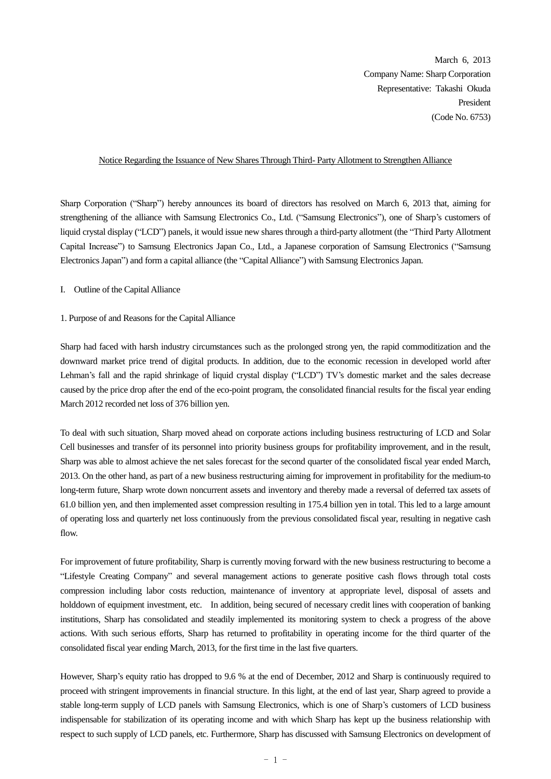March 6, 2013 Company Name: Sharp Corporation Representative: Takashi Okuda **President** (Code No. 6753)

### Notice Regarding the Issuance of New Shares Through Third- Party Allotment to Strengthen Alliance

Sharp Corporation ("Sharp") hereby announces its board of directors has resolved on March 6, 2013 that, aiming for strengthening of the alliance with Samsung Electronics Co., Ltd. ("Samsung Electronics"), one of Sharp's customers of liquid crystal display ("LCD") panels, it would issue new shares through a third-party allotment (the "Third Party Allotment Capital Increase") to Samsung Electronics Japan Co., Ltd., a Japanese corporation of Samsung Electronics ("Samsung Electronics Japan") and form a capital alliance (the "Capital Alliance") with Samsung Electronics Japan.

I. Outline of the Capital Alliance

## 1. Purpose of and Reasons for the Capital Alliance

Sharp had faced with harsh industry circumstances such as the prolonged strong yen, the rapid commoditization and the downward market price trend of digital products. In addition, due to the economic recession in developed world after Lehman's fall and the rapid shrinkage of liquid crystal display ("LCD") TV's domestic market and the sales decrease caused by the price drop after the end of the eco-point program, the consolidated financial results for the fiscal year ending March 2012 recorded net loss of 376 billion yen.

To deal with such situation, Sharp moved ahead on corporate actions including business restructuring of LCD and Solar Cell businesses and transfer of its personnel into priority business groups for profitability improvement, and in the result, Sharp was able to almost achieve the net sales forecast for the second quarter of the consolidated fiscal year ended March, 2013. On the other hand, as part of a new business restructuring aiming for improvement in profitability for the medium-to long-term future, Sharp wrote down noncurrent assets and inventory and thereby made a reversal of deferred tax assets of 61.0 billion yen, and then implemented asset compression resulting in 175.4 billion yen in total. This led to a large amount of operating loss and quarterly net loss continuously from the previous consolidated fiscal year, resulting in negative cash flow.

For improvement of future profitability, Sharp is currently moving forward with the new business restructuring to become a "Lifestyle Creating Company" and several management actions to generate positive cash flows through total costs compression including labor costs reduction, maintenance of inventory at appropriate level, disposal of assets and holddown of equipment investment, etc. In addition, being secured of necessary credit lines with cooperation of banking institutions, Sharp has consolidated and steadily implemented its monitoring system to check a progress of the above actions. With such serious efforts, Sharp has returned to profitability in operating income for the third quarter of the consolidated fiscal year ending March, 2013, for the first time in the last five quarters.

However, Sharp's equity ratio has dropped to 9.6 % at the end of December, 2012 and Sharp is continuously required to proceed with stringent improvements in financial structure. In this light, at the end of last year, Sharp agreed to provide a stable long-term supply of LCD panels with Samsung Electronics, which is one of Sharp's customers of LCD business indispensable for stabilization of its operating income and with which Sharp has kept up the business relationship with respect to such supply of LCD panels, etc. Furthermore, Sharp has discussed with Samsung Electronics on development of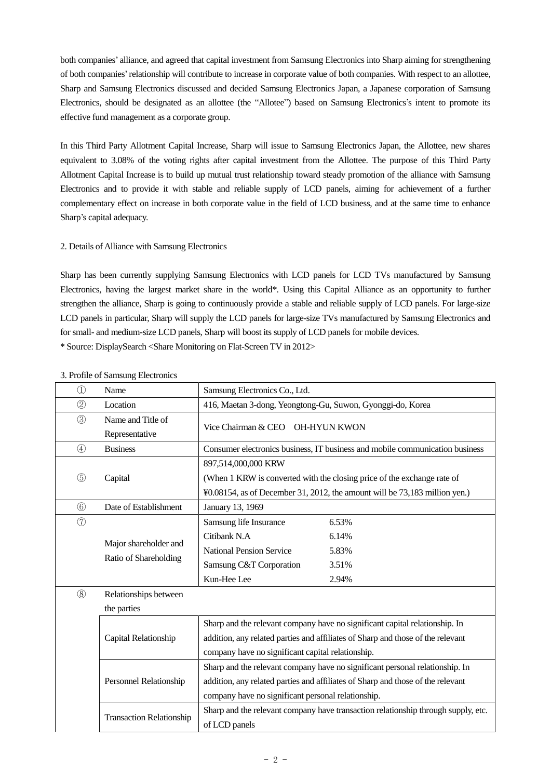both companies' alliance, and agreed that capital investment from Samsung Electronics into Sharp aiming for strengthening of both companies'relationship will contribute to increase in corporate value of both companies. With respect to an allottee, Sharp and Samsung Electronics discussed and decided Samsung Electronics Japan, a Japanese corporation of Samsung Electronics, should be designated as an allottee (the "Allotee") based on Samsung Electronics's intent to promote its effective fund management as a corporate group.

In this Third Party Allotment Capital Increase, Sharp will issue to Samsung Electronics Japan, the Allottee, new shares equivalent to 3.08% of the voting rights after capital investment from the Allottee. The purpose of this Third Party Allotment Capital Increase is to build up mutual trust relationship toward steady promotion of the alliance with Samsung Electronics and to provide it with stable and reliable supply of LCD panels, aiming for achievement of a further complementary effect on increase in both corporate value in the field of LCD business, and at the same time to enhance Sharp's capital adequacy.

## 2. Details of Alliance with Samsung Electronics

Sharp has been currently supplying Samsung Electronics with LCD panels for LCD TVs manufactured by Samsung Electronics, having the largest market share in the world\*. Using this Capital Alliance as an opportunity to further strengthen the alliance, Sharp is going to continuously provide a stable and reliable supply of LCD panels. For large-size LCD panels in particular, Sharp will supply the LCD panels for large-size TVs manufactured by Samsung Electronics and for small- and medium-size LCD panels, Sharp will boost its supply of LCD panels for mobile devices. \* Source: DisplaySearch <Share Monitoring on Flat-Screen TV in 2012>

| $\circled{1}$  | Name                                           | Samsung Electronics Co., Ltd.                                                                                                                                                                                         |  |  |
|----------------|------------------------------------------------|-----------------------------------------------------------------------------------------------------------------------------------------------------------------------------------------------------------------------|--|--|
| $^{\circledR}$ | Location                                       | 416, Maetan 3-dong, Yeongtong-Gu, Suwon, Gyonggi-do, Korea                                                                                                                                                            |  |  |
| $\circled{3}$  | Name and Title of<br>Representative            | Vice Chairman & CEO OH-HYUN KWON                                                                                                                                                                                      |  |  |
| $\circled{4}$  | <b>Business</b>                                | Consumer electronics business, IT business and mobile communication business                                                                                                                                          |  |  |
| $\circledS$    | Capital                                        | 897,514,000,000 KRW<br>(When 1 KRW is converted with the closing price of the exchange rate of<br>¥0.08154, as of December 31, 2012, the amount will be 73,183 million yen.)                                          |  |  |
| $\circledcirc$ | Date of Establishment                          | January 13, 1969                                                                                                                                                                                                      |  |  |
| $\circled{7}$  | Major shareholder and<br>Ratio of Shareholding | 6.53%<br>Samsung life Insurance<br>Citibank N.A<br>6.14%<br><b>National Pension Service</b><br>5.83%<br>Samsung C&T Corporation<br>3.51%<br>Kun-Hee Lee<br>2.94%                                                      |  |  |
| $\circledS$    | Relationships between<br>the parties           |                                                                                                                                                                                                                       |  |  |
|                | Capital Relationship                           | Sharp and the relevant company have no significant capital relationship. In<br>addition, any related parties and affiliates of Sharp and those of the relevant<br>company have no significant capital relationship.   |  |  |
|                | Personnel Relationship                         | Sharp and the relevant company have no significant personal relationship. In<br>addition, any related parties and affiliates of Sharp and those of the relevant<br>company have no significant personal relationship. |  |  |
|                | <b>Transaction Relationship</b>                | Sharp and the relevant company have transaction relationship through supply, etc.<br>of LCD panels                                                                                                                    |  |  |

#### 3. Profile of Samsung Electronics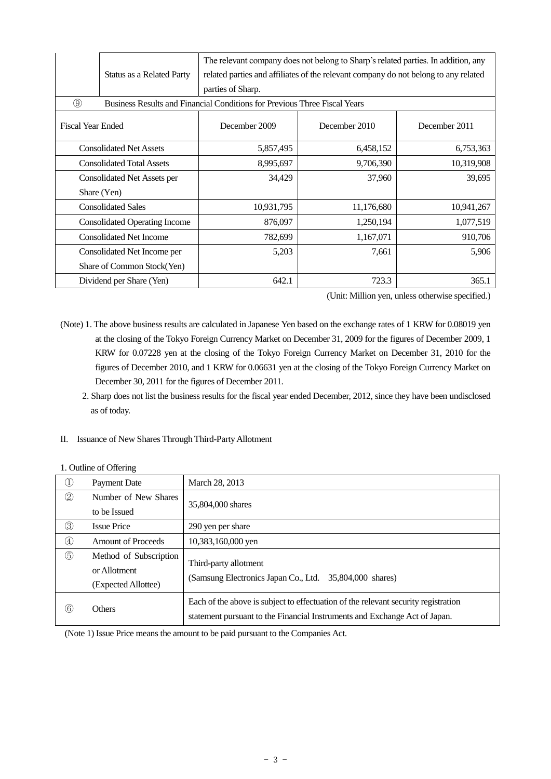|                                  | Status as a Related Party            | The relevant company does not belong to Sharp's related parties. In addition, any<br>related parties and affiliates of the relevant company do not belong to any related<br>parties of Sharp. |            |               |  |  |
|----------------------------------|--------------------------------------|-----------------------------------------------------------------------------------------------------------------------------------------------------------------------------------------------|------------|---------------|--|--|
| $\circled{9}$                    |                                      | Business Results and Financial Conditions for Previous Three Fiscal Years                                                                                                                     |            |               |  |  |
| <b>Fiscal Year Ended</b>         |                                      | December 2009<br>December 2010                                                                                                                                                                |            | December 2011 |  |  |
| <b>Consolidated Net Assets</b>   |                                      | 5,857,495                                                                                                                                                                                     | 6,458,152  | 6,753,363     |  |  |
| <b>Consolidated Total Assets</b> |                                      | 8,995,697                                                                                                                                                                                     | 9,706,390  | 10,319,908    |  |  |
| Consolidated Net Assets per      |                                      | 34,429                                                                                                                                                                                        | 37,960     | 39,695        |  |  |
| Share (Yen)                      |                                      |                                                                                                                                                                                               |            |               |  |  |
| <b>Consolidated Sales</b>        |                                      | 10,931,795                                                                                                                                                                                    | 11,176,680 | 10,941,267    |  |  |
|                                  | <b>Consolidated Operating Income</b> | 876,097                                                                                                                                                                                       | 1,250,194  | 1,077,519     |  |  |
| <b>Consolidated Net Income</b>   |                                      | 782,699                                                                                                                                                                                       | 1,167,071  | 910,706       |  |  |
| Consolidated Net Income per      |                                      | 5,203                                                                                                                                                                                         | 7,661      | 5,906         |  |  |
| Share of Common Stock(Yen)       |                                      |                                                                                                                                                                                               |            |               |  |  |
|                                  | Dividend per Share (Yen)             | 642.1                                                                                                                                                                                         | 723.3      | 365.1         |  |  |

(Unit: Million yen, unless otherwise specified.)

- (Note) 1. The above business results are calculated in Japanese Yen based on the exchange rates of 1 KRW for 0.08019 yen at the closing of the Tokyo Foreign Currency Market on December 31, 2009 for the figures of December 2009, 1 KRW for 0.07228 yen at the closing of the Tokyo Foreign Currency Market on December 31, 2010 for the figures of December 2010, and 1 KRW for 0.06631 yen at the closing of the Tokyo Foreign Currency Market on December 30, 2011 for the figures of December 2011.
	- 2. Sharp does not list the business results for the fiscal year ended December, 2012, since they have been undisclosed as of today.

# II. Issuance of New Shares Through Third-Party Allotment

|               | <b>Payment Date</b>                                           | March 28, 2013                                                                                                                                                   |
|---------------|---------------------------------------------------------------|------------------------------------------------------------------------------------------------------------------------------------------------------------------|
| $\circled{2}$ | Number of New Shares                                          |                                                                                                                                                                  |
|               | to be Issued                                                  | 35,804,000 shares                                                                                                                                                |
| ③             | <b>Issue Price</b>                                            | 290 yen per share                                                                                                                                                |
| $\circled{4}$ | <b>Amount of Proceeds</b>                                     | 10,383,160,000 yen                                                                                                                                               |
| $\circledS$   | Method of Subscription<br>or Allotment<br>(Expected Allottee) | Third-party allotment<br>(Samsung Electronics Japan Co., Ltd. 35,804,000 shares)                                                                                 |
| $^\copyright$ | <b>Others</b>                                                 | Each of the above is subject to effectuation of the relevant security registration<br>statement pursuant to the Financial Instruments and Exchange Act of Japan. |

# 1. Outline of Offering

(Note 1) Issue Price means the amount to be paid pursuant to the Companies Act.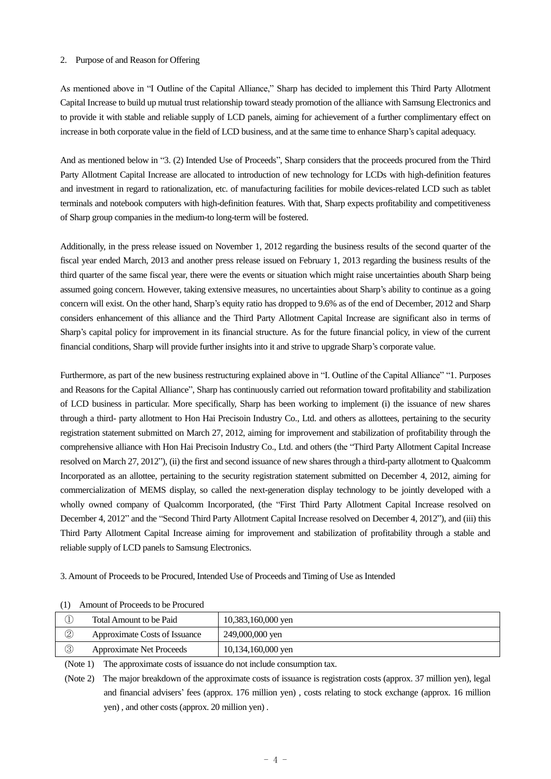#### 2. Purpose of and Reason for Offering

As mentioned above in "I Outline of the Capital Alliance," Sharp has decided to implement this Third Party Allotment Capital Increase to build up mutual trust relationship toward steady promotion of the alliance with Samsung Electronics and to provide it with stable and reliable supply of LCD panels, aiming for achievement of a further complimentary effect on increase in both corporate value in the field of LCD business, and at the same time to enhance Sharp's capital adequacy.

And as mentioned below in "3. (2) Intended Use of Proceeds", Sharp considers that the proceeds procured from the Third Party Allotment Capital Increase are allocated to introduction of new technology for LCDs with high-definition features and investment in regard to rationalization, etc. of manufacturing facilities for mobile devices-related LCD such as tablet terminals and notebook computers with high-definition features. With that, Sharp expects profitability and competitiveness of Sharp group companies in the medium-to long-term will be fostered.

Additionally, in the press release issued on November 1, 2012 regarding the business results of the second quarter of the fiscal year ended March, 2013 and another press release issued on February 1, 2013 regarding the business results of the third quarter of the same fiscal year, there were the events or situation which might raise uncertainties abouth Sharp being assumed going concern. However, taking extensive measures, no uncertainties about Sharp's ability to continue as a going concern will exist. On the other hand, Sharp's equity ratio has dropped to 9.6% as of the end of December, 2012 and Sharp considers enhancement of this alliance and the Third Party Allotment Capital Increase are significant also in terms of Sharp's capital policy for improvement in its financial structure. As for the future financial policy, in view of the current financial conditions, Sharp will provide further insights into it and strive to upgrade Sharp's corporate value.

Furthermore, as part of the new business restructuring explained above in "I. Outline of the Capital Alliance" "1. Purposes and Reasons for the Capital Alliance", Sharp has continuously carried out reformation toward profitability and stabilization of LCD business in particular. More specifically, Sharp has been working to implement (i) the issuance of new shares through a third- party allotment to Hon Hai Precisoin Industry Co., Ltd. and others as allottees, pertaining to the security registration statement submitted on March 27, 2012, aiming for improvement and stabilization of profitability through the comprehensive alliance with Hon Hai Precisoin Industry Co., Ltd. and others (the "Third Party Allotment Capital Increase resolved on March 27, 2012"), (ii) the first and second issuance of new shares through a third-party allotment to Qualcomm Incorporated as an allottee, pertaining to the security registration statement submitted on December 4, 2012, aiming for commercialization of MEMS display, so called the next-generation display technology to be jointly developed with a wholly owned company of Qualcomm Incorporated, (the "First Third Party Allotment Capital Increase resolved on December 4, 2012" and the "Second Third Party Allotment Capital Increase resolved on December 4, 2012"), and (iii) this Third Party Allotment Capital Increase aiming for improvement and stabilization of profitability through a stable and reliable supply of LCD panels to Samsung Electronics.

3. Amount of Proceeds to be Procured, Intended Use of Proceeds and Timing of Use as Intended

|                | Total Amount to be Paid         | 10,383,160,000 yen |
|----------------|---------------------------------|--------------------|
| $^{\circledR}$ | Approximate Costs of Issuance   | 249,000,000 yen    |
| $\circledS$    | <b>Approximate Net Proceeds</b> | 10,134,160,000 yen |

(1) Amount of Proceeds to be Procured

(Note 1) The approximate costs of issuance do not include consumption tax.

(Note 2) The major breakdown of the approximate costs of issuance is registration costs (approx. 37 million yen), legal and financial advisers' fees (approx. 176 million yen) , costs relating to stock exchange (approx. 16 million yen) , and other costs (approx. 20 million yen) .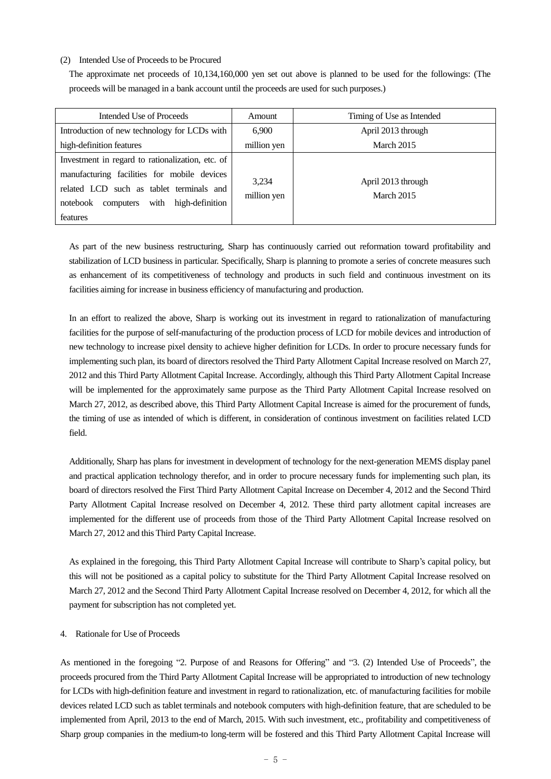#### (2) Intended Use of Proceeds to be Procured

The approximate net proceeds of 10,134,160,000 yen set out above is planned to be used for the followings: (The proceeds will be managed in a bank account until the proceeds are used for such purposes.)

| Intended Use of Proceeds                                                                                                                                                                                 | Amount               | Timing of Use as Intended               |
|----------------------------------------------------------------------------------------------------------------------------------------------------------------------------------------------------------|----------------------|-----------------------------------------|
| Introduction of new technology for LCDs with                                                                                                                                                             | 6.900                | April 2013 through                      |
| high-definition features                                                                                                                                                                                 | million yen          | March 2015                              |
| Investment in regard to rationalization, etc. of<br>manufacturing facilities for mobile devices<br>related LCD such as tablet terminals and<br>with high-definition<br>notebook<br>computers<br>features | 3,234<br>million yen | April 2013 through<br><b>March 2015</b> |

As part of the new business restructuring, Sharp has continuously carried out reformation toward profitability and stabilization of LCD business in particular. Specifically, Sharp is planning to promote a series of concrete measures such as enhancement of its competitiveness of technology and products in such field and continuous investment on its facilities aiming for increase in business efficiency of manufacturing and production.

In an effort to realized the above, Sharp is working out its investment in regard to rationalization of manufacturing facilities for the purpose of self-manufacturing of the production process of LCD for mobile devices and introduction of new technology to increase pixel density to achieve higher definition for LCDs. In order to procure necessary funds for implementing such plan, its board of directors resolved the Third Party Allotment Capital Increase resolved on March 27, 2012 and this Third Party Allotment Capital Increase. Accordingly, although this Third Party Allotment Capital Increase will be implemented for the approximately same purpose as the Third Party Allotment Capital Increase resolved on March 27, 2012, as described above, this Third Party Allotment Capital Increase is aimed for the procurement of funds, the timing of use as intended of which is different, in consideration of continous investment on facilities related LCD field.

Additionally, Sharp has plans for investment in development of technology for the next-generation MEMS display panel and practical application technology therefor, and in order to procure necessary funds for implementing such plan, its board of directors resolved the First Third Party Allotment Capital Increase on December 4, 2012 and the Second Third Party Allotment Capital Increase resolved on December 4, 2012. These third party allotment capital increases are implemented for the different use of proceeds from those of the Third Party Allotment Capital Increase resolved on March 27, 2012 and this Third Party Capital Increase.

As explained in the foregoing, this Third Party Allotment Capital Increase will contribute to Sharp's capital policy, but this will not be positioned as a capital policy to substitute for the Third Party Allotment Capital Increase resolved on March 27, 2012 and the Second Third Party Allotment Capital Increase resolved on December 4, 2012, for which all the payment for subscription has not completed yet.

# 4. Rationale for Use of Proceeds

As mentioned in the foregoing "2. Purpose of and Reasons for Offering" and "3. (2) Intended Use of Proceeds", the proceeds procured from the Third Party Allotment Capital Increase will be appropriated to introduction of new technology for LCDs with high-definition feature and investment in regard to rationalization, etc. of manufacturing facilities for mobile devices related LCD such as tablet terminals and notebook computers with high-definition feature, that are scheduled to be implemented from April, 2013 to the end of March, 2015. With such investment, etc., profitability and competitiveness of Sharp group companies in the medium-to long-term will be fostered and this Third Party Allotment Capital Increase will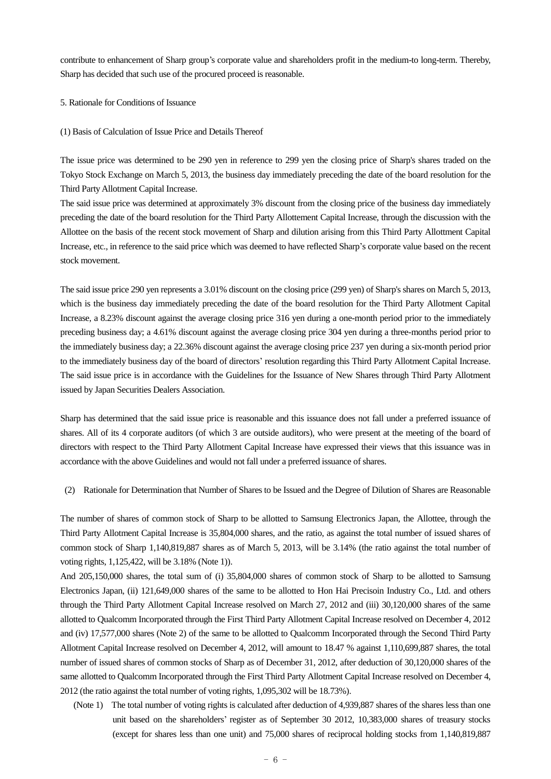contribute to enhancement of Sharp group's corporate value and shareholders profit in the medium-to long-term. Thereby, Sharp has decided that such use of the procured proceed is reasonable.

5. Rationale for Conditions of Issuance

#### (1) Basis of Calculation of Issue Price and Details Thereof

The issue price was determined to be 290 yen in reference to 299 yen the closing price of Sharp's shares traded on the Tokyo Stock Exchange on March 5, 2013, the business day immediately preceding the date of the board resolution for the Third Party Allotment Capital Increase.

The said issue price was determined at approximately 3% discount from the closing price of the business day immediately preceding the date of the board resolution for the Third Party Allottement Capital Increase, through the discussion with the Allottee on the basis of the recent stock movement of Sharp and dilution arising from this Third Party Allottment Capital Increase, etc., in reference to the said price which was deemed to have reflected Sharp's corporate value based on the recent stock movement.

The said issue price 290 yen represents a 3.01% discount on the closing price (299 yen) of Sharp's shares on March 5, 2013, which is the business day immediately preceding the date of the board resolution for the Third Party Allotment Capital Increase, a 8.23% discount against the average closing price 316 yen during a one-month period prior to the immediately preceding business day; a 4.61% discount against the average closing price 304 yen during a three-months period prior to the immediately business day; a 22.36% discount against the average closing price 237 yen during a six-month period prior to the immediately business day of the board of directors' resolution regarding this Third Party Allotment Capital Increase. The said issue price is in accordance with the Guidelines for the Issuance of New Shares through Third Party Allotment issued by Japan Securities Dealers Association.

Sharp has determined that the said issue price is reasonable and this issuance does not fall under a preferred issuance of shares. All of its 4 corporate auditors (of which 3 are outside auditors), who were present at the meeting of the board of directors with respect to the Third Party Allotment Capital Increase have expressed their views that this issuance was in accordance with the above Guidelines and would not fall under a preferred issuance of shares.

(2) Rationale for Determination that Number of Shares to be Issued and the Degree of Dilution of Shares are Reasonable

The number of shares of common stock of Sharp to be allotted to Samsung Electronics Japan, the Allottee, through the Third Party Allotment Capital Increase is 35,804,000 shares, and the ratio, as against the total number of issued shares of common stock of Sharp 1,140,819,887 shares as of March 5, 2013, will be 3.14% (the ratio against the total number of voting rights, 1,125,422, will be 3.18% (Note 1)).

And 205,150,000 shares, the total sum of (i) 35,804,000 shares of common stock of Sharp to be allotted to Samsung Electronics Japan, (ii) 121,649,000 shares of the same to be allotted to Hon Hai Precisoin Industry Co., Ltd. and others through the Third Party Allotment Capital Increase resolved on March 27, 2012 and (iii) 30,120,000 shares of the same allotted to Qualcomm Incorporated through the First Third Party Allotment Capital Increase resolved on December 4, 2012 and (iv) 17,577,000 shares (Note 2) of the same to be allotted to Qualcomm Incorporated through the Second Third Party Allotment Capital Increase resolved on December 4, 2012, will amount to 18.47 % against 1,110,699,887 shares, the total number of issued shares of common stocks of Sharp as of December 31, 2012, after deduction of 30,120,000 shares of the same allotted to Qualcomm Incorporated through the First Third Party Allotment Capital Increase resolved on December 4, 2012 (the ratio against the total number of voting rights, 1,095,302 will be 18.73%).

(Note 1) The total number of voting rights is calculated after deduction of 4,939,887 shares of the shares less than one unit based on the shareholders' register as of September 30 2012, 10,383,000 shares of treasury stocks (except for shares less than one unit) and 75,000 shares of reciprocal holding stocks from 1,140,819,887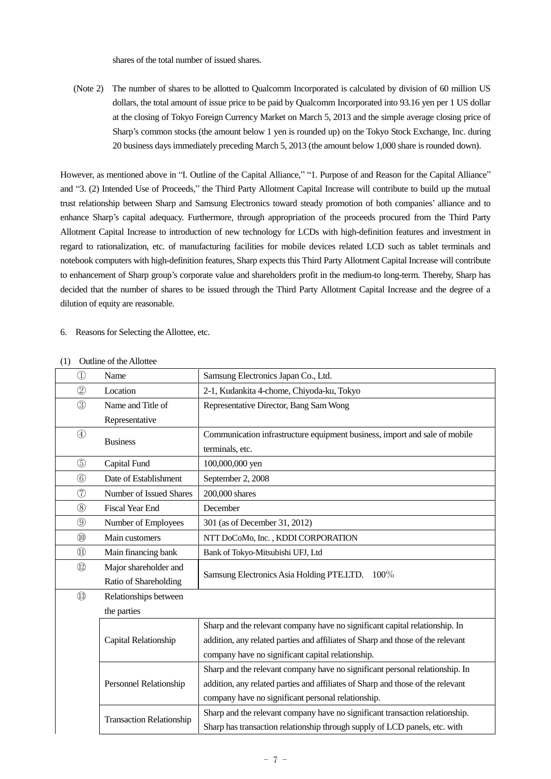shares of the total number of issued shares.

(Note 2) The number of shares to be allotted to Qualcomm Incorporated is calculated by division of 60 million US dollars, the total amount of issue price to be paid by Qualcomm Incorporated into 93.16 yen per 1 US dollar at the closing of Tokyo Foreign Currency Market on March 5, 2013 and the simple average closing price of Sharp's common stocks (the amount below 1 yen is rounded up) on the Tokyo Stock Exchange, Inc. during 20 business days immediately preceding March 5, 2013 (the amount below 1,000 share is rounded down).

However, as mentioned above in "I. Outline of the Capital Alliance," "1. Purpose of and Reason for the Capital Alliance" and "3. (2) Intended Use of Proceeds," the Third Party Allotment Capital Increase will contribute to build up the mutual trust relationship between Sharp and Samsung Electronics toward steady promotion of both companies' alliance and to enhance Sharp's capital adequacy. Furthermore, through appropriation of the proceeds procured from the Third Party Allotment Capital Increase to introduction of new technology for LCDs with high-definition features and investment in regard to rationalization, etc. of manufacturing facilities for mobile devices related LCD such as tablet terminals and notebook computers with high-definition features, Sharp expects this Third Party Allotment Capital Increase will contribute to enhancement of Sharp group's corporate value and shareholders profit in the medium-to long-term. Thereby, Sharp has decided that the number of shares to be issued through the Third Party Allotment Capital Increase and the degree of a dilution of equity are reasonable.

## 6. Reasons for Selecting the Allottee, etc.

| $\bigcirc$                     | Name                            | Samsung Electronics Japan Co., Ltd.                                             |  |  |
|--------------------------------|---------------------------------|---------------------------------------------------------------------------------|--|--|
| $^{\circledR}$                 | Location                        | 2-1, Kudankita 4-chome, Chiyoda-ku, Tokyo                                       |  |  |
| $\circledS$                    | Name and Title of               | Representative Director, Bang Sam Wong                                          |  |  |
|                                | Representative                  |                                                                                 |  |  |
| $\circled{4}$                  | <b>Business</b>                 | Communication infrastructure equipment business, import and sale of mobile      |  |  |
|                                |                                 | terminals, etc.                                                                 |  |  |
| $\circledS$                    | Capital Fund                    | 100,000,000 yen                                                                 |  |  |
| $\circledcirc$                 | Date of Establishment           | September 2, 2008                                                               |  |  |
| $\circledT$                    | Number of Issued Shares         | 200,000 shares                                                                  |  |  |
| $\circledS$                    | <b>Fiscal Year End</b>          | December                                                                        |  |  |
| $\circled{0}$                  | Number of Employees             | 301 (as of December 31, 2012)                                                   |  |  |
| $\circledR$                    | Main customers                  | NTT DoCoMo, Inc., KDDI CORPORATION                                              |  |  |
| $\textcircled{\scriptsize{1}}$ | Main financing bank             | Bank of Tokyo-Mitsubishi UFJ, Ltd                                               |  |  |
| $\circled{1}$                  | Major shareholder and           | Samsung Electronics Asia Holding PTE.LTD. 100%                                  |  |  |
|                                | Ratio of Shareholding           |                                                                                 |  |  |
| $\circled{1}$                  | Relationships between           |                                                                                 |  |  |
|                                | the parties                     |                                                                                 |  |  |
|                                |                                 | Sharp and the relevant company have no significant capital relationship. In     |  |  |
|                                | Capital Relationship            | addition, any related parties and affiliates of Sharp and those of the relevant |  |  |
|                                |                                 | company have no significant capital relationship.                               |  |  |
|                                |                                 | Sharp and the relevant company have no significant personal relationship. In    |  |  |
|                                | Personnel Relationship          | addition, any related parties and affiliates of Sharp and those of the relevant |  |  |
|                                |                                 | company have no significant personal relationship.                              |  |  |
|                                | <b>Transaction Relationship</b> | Sharp and the relevant company have no significant transaction relationship.    |  |  |
|                                |                                 | Sharp has transaction relationship through supply of LCD panels, etc. with      |  |  |

## (1) Outline of the Allottee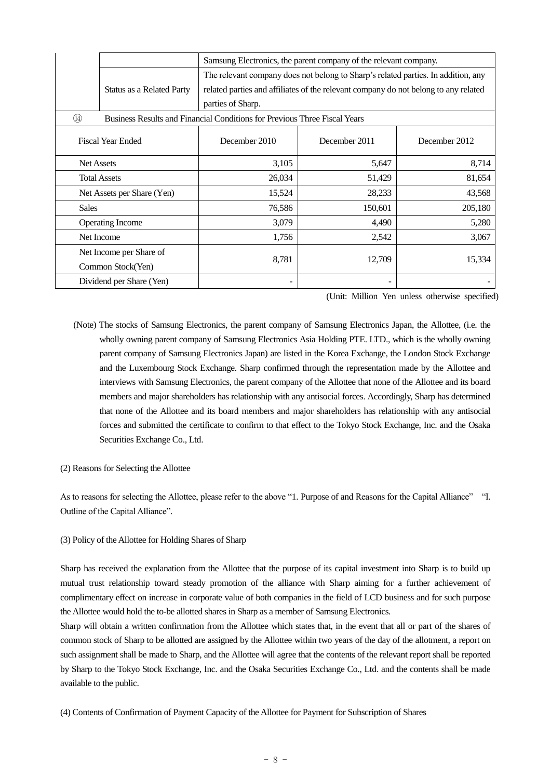|                            |                                                                                                                  | Samsung Electronics, the parent company of the relevant company.                  |               |               |  |  |  |
|----------------------------|------------------------------------------------------------------------------------------------------------------|-----------------------------------------------------------------------------------|---------------|---------------|--|--|--|
|                            |                                                                                                                  | The relevant company does not belong to Sharp's related parties. In addition, any |               |               |  |  |  |
|                            | related parties and affiliates of the relevant company do not belong to any related<br>Status as a Related Party |                                                                                   |               |               |  |  |  |
|                            |                                                                                                                  | parties of Sharp.                                                                 |               |               |  |  |  |
| $\circled{4}$              |                                                                                                                  | Business Results and Financial Conditions for Previous Three Fiscal Years         |               |               |  |  |  |
|                            | <b>Fiscal Year Ended</b>                                                                                         | December 2010                                                                     | December 2011 | December 2012 |  |  |  |
| <b>Net Assets</b>          |                                                                                                                  | 3,105                                                                             | 5,647         | 8,714         |  |  |  |
| <b>Total Assets</b>        |                                                                                                                  | 26,034                                                                            | 51,429        | 81,654        |  |  |  |
| Net Assets per Share (Yen) |                                                                                                                  | 15,524                                                                            | 28,233        | 43,568        |  |  |  |
| <b>Sales</b>               |                                                                                                                  | 76,586                                                                            | 150,601       | 205,180       |  |  |  |
|                            | <b>Operating Income</b>                                                                                          | 3,079                                                                             | 4,490         | 5,280         |  |  |  |
| Net Income                 |                                                                                                                  | 1,756                                                                             | 2,542         | 3,067         |  |  |  |
| Net Income per Share of    |                                                                                                                  |                                                                                   |               |               |  |  |  |
| Common Stock(Yen)          |                                                                                                                  | 8,781                                                                             | 12,709        | 15,334        |  |  |  |
| Dividend per Share (Yen)   |                                                                                                                  |                                                                                   |               |               |  |  |  |

(Unit: Million Yen unless otherwise specified)

- (Note) The stocks of Samsung Electronics, the parent company of Samsung Electronics Japan, the Allottee, (i.e. the wholly owning parent company of Samsung Electronics Asia Holding PTE. LTD., which is the wholly owning parent company of Samsung Electronics Japan) are listed in the Korea Exchange, the London Stock Exchange and the Luxembourg Stock Exchange. Sharp confirmed through the representation made by the Allottee and interviews with Samsung Electronics, the parent company of the Allottee that none of the Allottee and its board members and major shareholders has relationship with any antisocial forces. Accordingly, Sharp has determined that none of the Allottee and its board members and major shareholders has relationship with any antisocial forces and submitted the certificate to confirm to that effect to the Tokyo Stock Exchange, Inc. and the Osaka Securities Exchange Co., Ltd.
- (2) Reasons for Selecting the Allottee

As to reasons for selecting the Allottee, please refer to the above "1. Purpose of and Reasons for the Capital Alliance" "I. Outline of the Capital Alliance".

## (3) Policy of the Allottee for Holding Shares of Sharp

Sharp has received the explanation from the Allottee that the purpose of its capital investment into Sharp is to build up mutual trust relationship toward steady promotion of the alliance with Sharp aiming for a further achievement of complimentary effect on increase in corporate value of both companies in the field of LCD business and for such purpose the Allottee would hold the to-be allotted shares in Sharp as a member of Samsung Electronics.

Sharp will obtain a written confirmation from the Allottee which states that, in the event that all or part of the shares of common stock of Sharp to be allotted are assigned by the Allottee within two years of the day of the allotment, a report on such assignment shall be made to Sharp, and the Allottee will agree that the contents of the relevant report shall be reported by Sharp to the Tokyo Stock Exchange, Inc. and the Osaka Securities Exchange Co., Ltd. and the contents shall be made available to the public.

(4) Contents of Confirmation of Payment Capacity of the Allottee for Payment for Subscription of Shares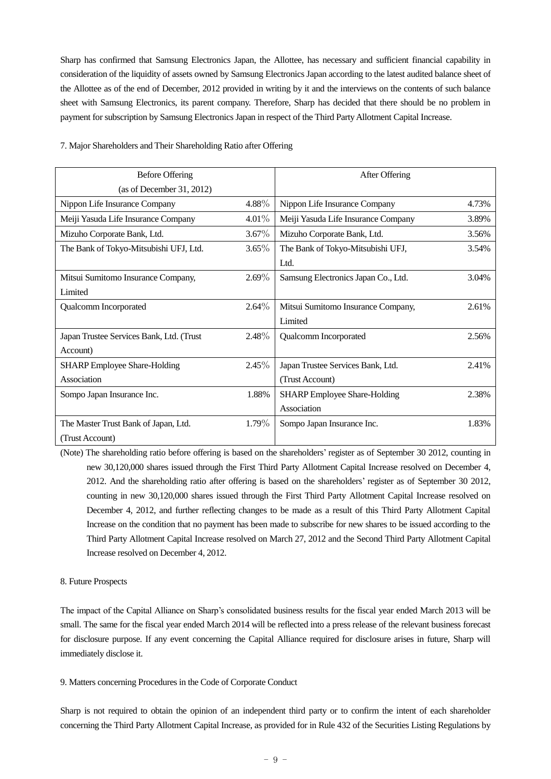Sharp has confirmed that Samsung Electronics Japan, the Allottee, has necessary and sufficient financial capability in consideration of the liquidity of assets owned by Samsung Electronics Japan according to the latest audited balance sheet of the Allottee as of the end of December, 2012 provided in writing by it and the interviews on the contents of such balance sheet with Samsung Electronics, its parent company. Therefore, Sharp has decided that there should be no problem in payment for subscription by Samsung Electronics Japan in respect of the Third Party Allotment Capital Increase.

| <b>Before Offering</b>                   |          | After Offering                      |       |
|------------------------------------------|----------|-------------------------------------|-------|
| (as of December 31, 2012)                |          |                                     |       |
| Nippon Life Insurance Company            | 4.88%    | Nippon Life Insurance Company       | 4.73% |
| Meiji Yasuda Life Insurance Company      | $4.01\%$ | Meiji Yasuda Life Insurance Company | 3.89% |
| Mizuho Corporate Bank, Ltd.              | $3.67\%$ | Mizuho Corporate Bank, Ltd.         | 3.56% |
| The Bank of Tokyo-Mitsubishi UFJ, Ltd.   | $3.65\%$ | The Bank of Tokyo-Mitsubishi UFJ,   | 3.54% |
|                                          |          | Ltd.                                |       |
| Mitsui Sumitomo Insurance Company,       | $2.69\%$ | Samsung Electronics Japan Co., Ltd. | 3.04% |
| Limited                                  |          |                                     |       |
| Qualcomm Incorporated                    | $2.64\%$ | Mitsui Sumitomo Insurance Company,  | 2.61% |
|                                          |          | Limited                             |       |
| Japan Trustee Services Bank, Ltd. (Trust | $2.48\%$ | Qualcomm Incorporated               | 2.56% |
| Account)                                 |          |                                     |       |
| <b>SHARP</b> Employee Share-Holding      | $2.45\%$ | Japan Trustee Services Bank, Ltd.   | 2.41% |
| Association                              |          | (Trust Account)                     |       |
| Sompo Japan Insurance Inc.               | 1.88%    | <b>SHARP</b> Employee Share-Holding | 2.38% |
|                                          |          | Association                         |       |
| The Master Trust Bank of Japan, Ltd.     | 1.79%    | Sompo Japan Insurance Inc.          | 1.83% |
| (Trust Account)                          |          |                                     |       |

#### 7. Major Shareholders and Their Shareholding Ratio after Offering

(Note) The shareholding ratio before offering is based on the shareholders' register as of September 30 2012, counting in new 30,120,000 shares issued through the First Third Party Allotment Capital Increase resolved on December 4, 2012. And the shareholding ratio after offering is based on the shareholders' register as of September 30 2012, counting in new 30,120,000 shares issued through the First Third Party Allotment Capital Increase resolved on December 4, 2012, and further reflecting changes to be made as a result of this Third Party Allotment Capital Increase on the condition that no payment has been made to subscribe for new shares to be issued according to the Third Party Allotment Capital Increase resolved on March 27, 2012 and the Second Third Party Allotment Capital Increase resolved on December 4, 2012.

# 8. Future Prospects

The impact of the Capital Alliance on Sharp's consolidated business results for the fiscal year ended March 2013 will be small. The same for the fiscal year ended March 2014 will be reflected into a press release of the relevant business forecast for disclosure purpose. If any event concerning the Capital Alliance required for disclosure arises in future, Sharp will immediately disclose it.

### 9. Matters concerning Procedures in the Code of Corporate Conduct

Sharp is not required to obtain the opinion of an independent third party or to confirm the intent of each shareholder concerning the Third Party Allotment Capital Increase, as provided for in Rule 432 of the Securities Listing Regulations by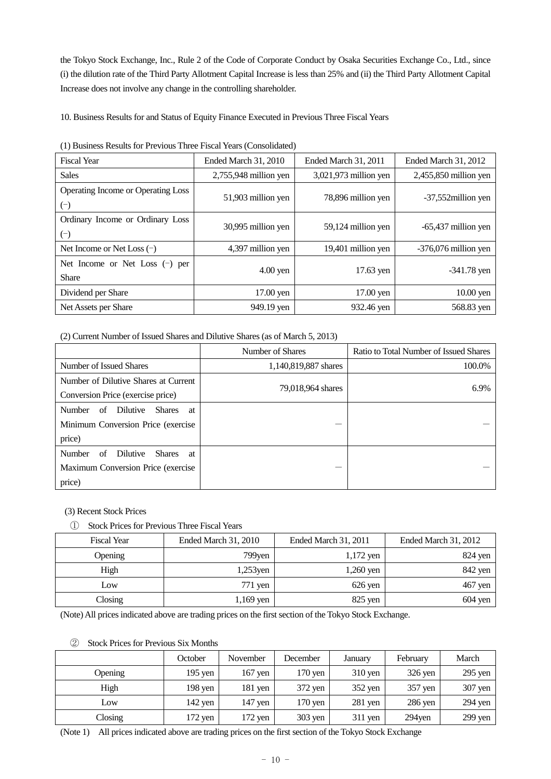the Tokyo Stock Exchange, Inc., Rule 2 of the Code of Corporate Conduct by Osaka Securities Exchange Co., Ltd., since (i) the dilution rate of the Third Party Allotment Capital Increase is less than 25% and (ii) the Third Party Allotment Capital Increase does not involve any change in the controlling shareholder.

10. Business Results for and Status of Equity Finance Executed in Previous Three Fiscal Years

| <b>Fiscal Year</b>                                | <b>Ended March 31, 2010</b> | Ended March 31, 2011  | Ended March 31, 2012    |
|---------------------------------------------------|-----------------------------|-----------------------|-------------------------|
| <b>Sales</b>                                      | 2,755,948 million yen       | 3,021,973 million yen | $2,455,850$ million yen |
| Operating Income or Operating Loss<br>$(\bar{\ }$ | 51,903 million yen          | 78,896 million yen    | -37,552 million yen     |
| Ordinary Income or Ordinary Loss<br>$(\bar{\ }$   | 30,995 million yen          | 59,124 million yen    | $-65,437$ million yen   |
| Net Income or Net Loss $(-)$                      | 4,397 million yen           | 19,401 million yen    | $-376,076$ million yen  |
| Net Income or Net Loss $(-)$ per<br><b>Share</b>  | $4.00$ yen                  | 17.63 yen             | $-341.78$ yen           |
| Dividend per Share                                | $17.00$ yen                 | 17.00 yen             | $10.00$ yen             |
| Net Assets per Share                              | 949.19 yen                  | 932.46 yen            | 568.83 yen              |

(1) Business Results for Previous Three Fiscal Years (Consolidated)

(2) Current Number of Issued Shares and Dilutive Shares (as of March 5, 2013)

|                                                                                                         | Number of Shares     | Ratio to Total Number of Issued Shares |  |
|---------------------------------------------------------------------------------------------------------|----------------------|----------------------------------------|--|
| Number of Issued Shares                                                                                 | 1,140,819,887 shares | 100.0%                                 |  |
| Number of Dilutive Shares at Current<br>Conversion Price (exercise price)                               | 79,018,964 shares    | 6.9%                                   |  |
| Dilutive<br><b>Number</b><br><b>Shares</b><br>of<br>at<br>Minimum Conversion Price (exercise)<br>price) |                      |                                        |  |
| Number<br>Dilutive<br><b>Shares</b><br>of<br>at<br>Maximum Conversion Price (exercise)<br>price)        |                      |                                        |  |

# (3) Recent Stock Prices

① Stock Prices for Previous Three Fiscal Years

| <b>Fiscal Year</b> | Ended March 31, 2010 | Ended March 31, 2011 | Ended March 31, 2012 |
|--------------------|----------------------|----------------------|----------------------|
| Opening            | $799$ yen            | $1,172$ yen          | $824$ yen            |
| High               | $1,253$ yen          | $1,260$ yen          | 842 yen              |
| Low                | $771$ yen            | $626$ yen            | $467$ yen            |
| Closing            | $1,169$ yen          | $825$ yen            | $604$ yen            |

(Note) All prices indicated above are trading prices on the first section of the Tokyo Stock Exchange.

## ② Stock Prices for Previous Six Months

|         | October   | November  | December             | January   | February  | March     |
|---------|-----------|-----------|----------------------|-----------|-----------|-----------|
| Opening | $195$ yen | $167$ yen | 170 yen              | $310$ yen | $326$ yen | $295$ yen |
| High    | 198 yen   | $181$ yen | $372$ yen            | $352$ yen | $357$ yen | 307 yen   |
| Low     | $142$ yen | $147$ yen | $170 \,\mathrm{yen}$ | $281$ yen | 286 yen   | $294$ yen |
| Closing | 172 yen   | $172$ yen | $303$ yen            | $311$ yen | 294yen    | $299$ yen |

(Note 1) All prices indicated above are trading prices on the first section of the Tokyo Stock Exchange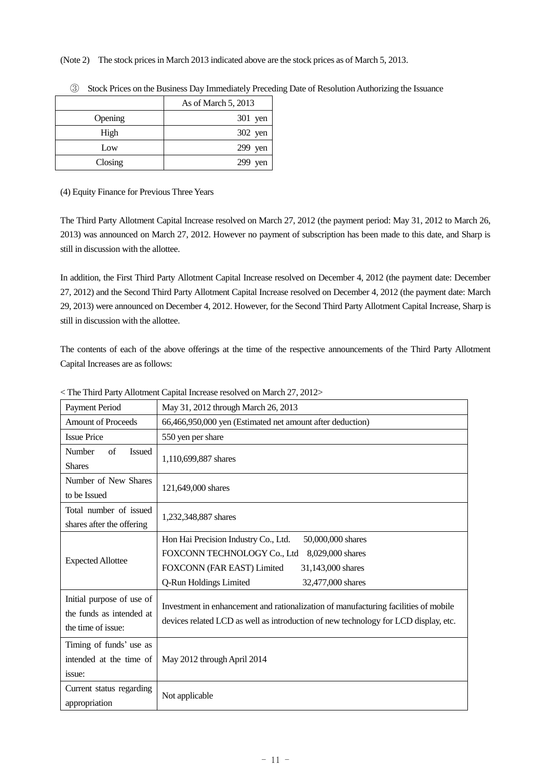(Note 2) The stock prices in March 2013 indicated above are the stock prices as of March 5, 2013.

|         | As of March 5, 2013 |
|---------|---------------------|
| Opening | 301 yen             |
| High    | 302 yen             |
| Low     | $299$ yen           |
| Closing | $299$ yen           |

③ Stock Prices on the Business Day Immediately Preceding Date of Resolution Authorizing the Issuance

(4) Equity Finance for Previous Three Years

The Third Party Allotment Capital Increase resolved on March 27, 2012 (the payment period: May 31, 2012 to March 26, 2013) was announced on March 27, 2012. However no payment of subscription has been made to this date, and Sharp is still in discussion with the allottee.

In addition, the First Third Party Allotment Capital Increase resolved on December 4, 2012 (the payment date: December 27, 2012) and the Second Third Party Allotment Capital Increase resolved on December 4, 2012 (the payment date: March 29, 2013) were announced on December 4, 2012. However, for the Second Third Party Allotment Capital Increase, Sharp is still in discussion with the allottee.

The contents of each of the above offerings at the time of the respective announcements of the Third Party Allotment Capital Increases are as follows:

| <b>Payment Period</b>                                                       | May 31, 2012 through March 26, 2013                                                                                                                                                                            |  |  |
|-----------------------------------------------------------------------------|----------------------------------------------------------------------------------------------------------------------------------------------------------------------------------------------------------------|--|--|
| <b>Amount of Proceeds</b>                                                   | 66,466,950,000 yen (Estimated net amount after deduction)                                                                                                                                                      |  |  |
| <b>Issue Price</b>                                                          | 550 yen per share                                                                                                                                                                                              |  |  |
| Number<br>$\sigma$ f<br><b>Issued</b><br><b>Shares</b>                      | 1,110,699,887 shares                                                                                                                                                                                           |  |  |
| Number of New Shares<br>to be Issued                                        | 121,649,000 shares                                                                                                                                                                                             |  |  |
| Total number of issued<br>shares after the offering                         | 1,232,348,887 shares                                                                                                                                                                                           |  |  |
| <b>Expected Allottee</b>                                                    | Hon Hai Precision Industry Co., Ltd.<br>50,000,000 shares<br>FOXCONN TECHNOLOGY Co., Ltd<br>8,029,000 shares<br>FOXCONN (FAR EAST) Limited<br>31,143,000 shares<br>Q-Run Holdings Limited<br>32,477,000 shares |  |  |
| Initial purpose of use of<br>the funds as intended at<br>the time of issue: | Investment in enhancement and rationalization of manufacturing facilities of mobile<br>devices related LCD as well as introduction of new technology for LCD display, etc.                                     |  |  |
| Timing of funds' use as<br>intended at the time of<br>issue:                | May 2012 through April 2014                                                                                                                                                                                    |  |  |
| Current status regarding<br>appropriation                                   | Not applicable                                                                                                                                                                                                 |  |  |

< The Third Party Allotment Capital Increase resolved on March 27, 2012>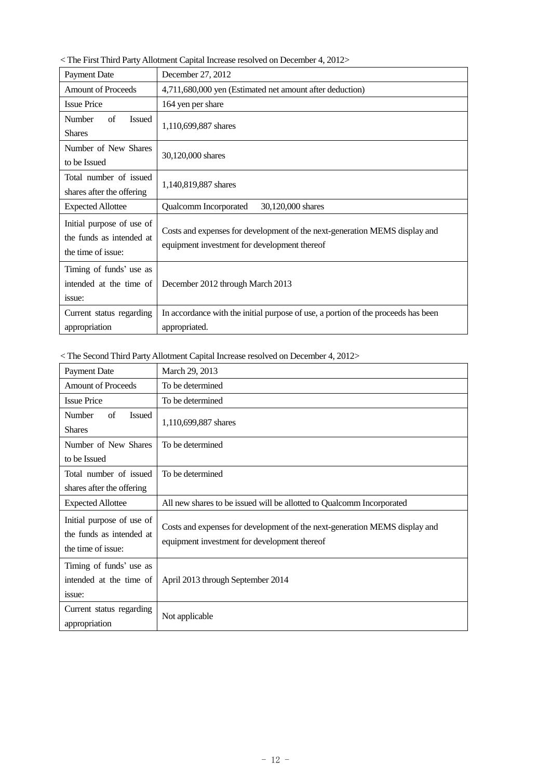$<$  The First Third Party Allotment Capital Increase resolved on December 4, 2012 $>$ 

| <b>Payment Date</b>                                                         | December 27, 2012                                                                                                          |  |
|-----------------------------------------------------------------------------|----------------------------------------------------------------------------------------------------------------------------|--|
| <b>Amount of Proceeds</b>                                                   | 4,711,680,000 yen (Estimated net amount after deduction)                                                                   |  |
| <b>Issue Price</b>                                                          | 164 yen per share                                                                                                          |  |
| Number<br>of<br><b>Issued</b><br><b>Shares</b>                              | 1,110,699,887 shares                                                                                                       |  |
| Number of New Shares<br>to be Issued                                        | 30,120,000 shares                                                                                                          |  |
| Total number of issued<br>shares after the offering                         | 1,140,819,887 shares                                                                                                       |  |
| <b>Expected Allottee</b>                                                    | 30,120,000 shares<br>Qualcomm Incorporated                                                                                 |  |
| Initial purpose of use of<br>the funds as intended at<br>the time of issue: | Costs and expenses for development of the next-generation MEMS display and<br>equipment investment for development thereof |  |
| Timing of funds' use as<br>intended at the time of<br>issue:                | December 2012 through March 2013                                                                                           |  |
| Current status regarding<br>appropriation                                   | In accordance with the initial purpose of use, a portion of the proceeds has been<br>appropriated.                         |  |

# $<$  The Second Third Party Allotment Capital Increase resolved on December 4, 2012>

| Payment Date                                                                | March 29, 2013                                                                                                             |
|-----------------------------------------------------------------------------|----------------------------------------------------------------------------------------------------------------------------|
| <b>Amount of Proceeds</b>                                                   | To be determined                                                                                                           |
| <b>Issue Price</b>                                                          | To be determined                                                                                                           |
| of<br>Number<br><b>Issued</b>                                               | 1,110,699,887 shares                                                                                                       |
| <b>Shares</b>                                                               |                                                                                                                            |
| Number of New Shares                                                        | To be determined                                                                                                           |
| to be Issued                                                                |                                                                                                                            |
| Total number of issued                                                      | To be determined                                                                                                           |
| shares after the offering                                                   |                                                                                                                            |
| <b>Expected Allottee</b>                                                    | All new shares to be issued will be allotted to Qualcomm Incorporated                                                      |
| Initial purpose of use of<br>the funds as intended at<br>the time of issue: | Costs and expenses for development of the next-generation MEMS display and<br>equipment investment for development thereof |
| Timing of funds' use as<br>intended at the time of<br>issue:                | April 2013 through September 2014                                                                                          |
| Current status regarding<br>appropriation                                   | Not applicable                                                                                                             |